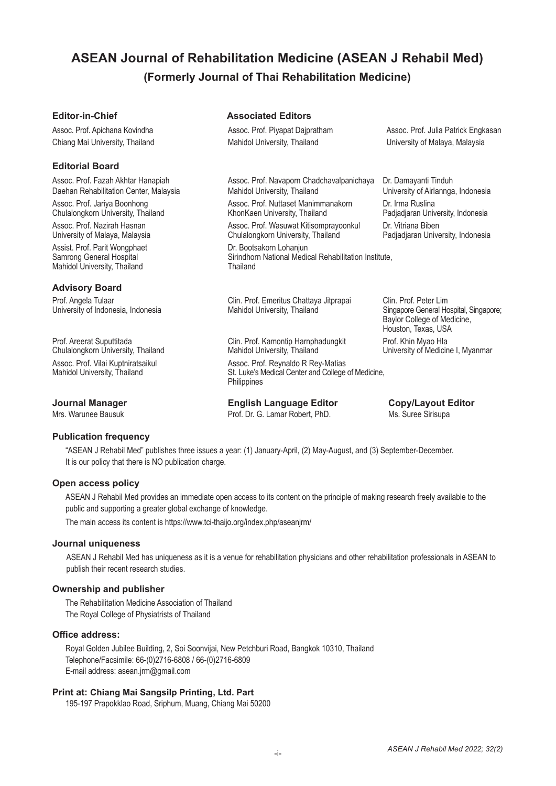# **ASEAN Journal of Rehabilitation Medicine (ASEAN J Rehabil Med) (Formerly Journal of Thai Rehabilitation Medicine)**

## **Editorial Board**

Assoc. Prof. Jariya Boonhong **Assoc. Prof. Nuttaset Manimmanakorn** Dr. Irma Ruslina<br>Chulalongkorn University, Thailand **Assoc. Prof. Assoc. Prof. Nuttaset Manimmanakorn** Padjadjaran University, Indonesia Chulalongkorn University, Thailand University of Malaya, Malaysia **Chulalongkorn University, Thailand** Assist. Prof. Parit Wongphaet **Dr. Bootsakorn Lohanjun**<br>
Samrong General Hospital **Dr. Bootsakorn Lohanjun**<br>
Sirindhorn National Medic Mahidol University, Thailand

### **Advisory Board**

University of Indonesia, Indonesia

Chulalongkorn University, Thailand Assoc. Prof. Vilai Kuptniratsaikul Assoc. Prof. Reynaldo R Rey-Matias<br>
Mahidol University, Thailand Changes St. Luke's Medical Center and College

# **Publication frequency**

#### "ASEAN J Rehabil Med" publishes three issues a year: (1) January-April, (2) May-August, and (3) September-December. It is our policy that there is NO publication charge.

#### **Open access policy**

ASEAN J Rehabil Med provides an immediate open access to its content on the principle of making research freely available to the public and supporting a greater global exchange of knowledge.

The main access its content is https://www.tci-thaijo.org/index.php/aseanjrm/

#### **Journal uniqueness**

ASEAN J Rehabil Med has uniqueness as it is a venue for rehabilitation physicians and other rehabilitation professionals in ASEAN to publish their recent research studies.

#### **Ownership and publisher**

The Rehabilitation Medicine Association of Thailand The Royal College of Physiatrists of Thailand

#### **Office address:**

Royal Golden Jubilee Building, 2, Soi Soonvijai, New Petchburi Road, Bangkok 10310, Thailand Telephone/Facsimile: 66-(0)2716-6808 / 66-(0)2716-6809 E-mail address: asean.jrm@gmail.com

# **Print at: Chiang Mai Sangsilp Printing, Ltd. Part**

195-197 Prapokklao Road, Sriphum, Muang, Chiang Mai 50200

# **Editor-in-Chief Associated Editors**

Chiang Mai University, Thailand Mahidol University, Thailand University of Malaya, Malaysia

Assoc. Prof. Apichana Kovindha **Assoc. Prof. Piyapat Dajpratham** Assoc. Prof. Julia Patrick Engkasan

Assoc. Prof. Fazah Akhtar Hanapiah Assoc. Prof. Navaporn Chadchavalpanichaya Dr. Damayanti Tinduh Daehan Rehabilitation Center, Malaysia **Mahidol University, Thailand** University of Airlannga, Indonesia

Assoc. Prof. Nazirah Hasnan **Assoc. Prof. Wasuwat Kitisomprayoonkul** Dr. Vitriana Biben<br>19 University of Malaya, Malaysia **Assoc. Prof. Assoc. Prof. Wasuwat Kitisomprayoonkul Pac**iadjaran University, Indonesia

Sirindhorn National Medical Rehabilitation Institute,<br>Thailand

Prof. Angela Tulaar Clin. Prof. Emeritus Chattaya Jitprapai Clin. Prof. Peter Lim<br>Clin. Company Clin. Company Clin. Prof. Emeritus Chattaya Jitprapai Clin. Prof. Peter Lim<br>Clin. Prof. Company Clin. Prof. Company Clin. Prof

Prof. Areerat Suputtitada **Clin. Prof. Kamontip Harnphadungkit** Prof. Khin Myao Hla<br>Chulalongkorn University, Thailand **Mahidol University, Thailand** Phiversity of Medicine I, Myanmar

St. Luke's Medical Center and College of Medicine, Philippines

**Journal Manager English Language Editor Copy/Layout Editor Mrs. Warunee Bausuk Editor Mrs. Warunee Bausuk Editor Prof. Dr. G. Lamar Robert, PhD.** Ms. Suree Sirisupa Prof. Dr. G. Lamar Robert, PhD.

 Baylor College of Medicine, Houston, Texas, USA